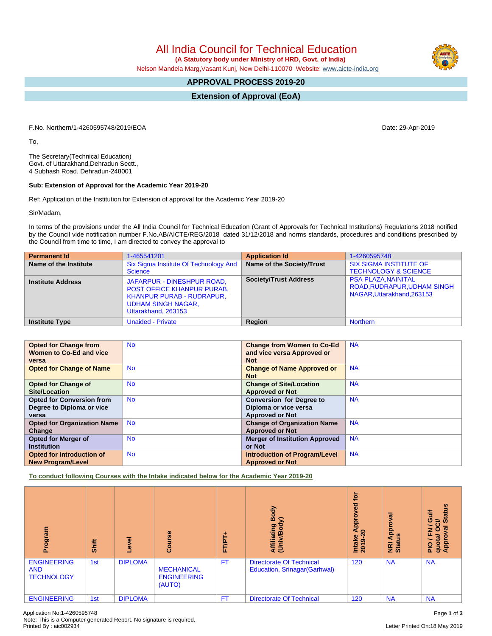All India Council for Technical Education

 **(A Statutory body under Ministry of HRD, Govt. of India)**

Nelson Mandela Marg,Vasant Kunj, New Delhi-110070 Website: [www.aicte-india.org](http://www.aicte-india.org)

# **APPROVAL PROCESS 2019-20**

**Extension of Approval (EoA)**

F.No. Northern/1-4260595748/2019/EOA Date: 29-Apr-2019

To,

The Secretary(Technical Education) Govt. of Uttarakhand,Dehradun Sectt., 4 Subhash Road, Dehradun-248001

### **Sub: Extension of Approval for the Academic Year 2019-20**

Ref: Application of the Institution for Extension of approval for the Academic Year 2019-20

Sir/Madam,

In terms of the provisions under the All India Council for Technical Education (Grant of Approvals for Technical Institutions) Regulations 2018 notified by the Council vide notification number F.No.AB/AICTE/REG/2018 dated 31/12/2018 and norms standards, procedures and conditions prescribed by the Council from time to time, I am directed to convey the approval to

| <b>Permanent Id</b>      | 1-465541201                                                                                                                                             | <b>Application Id</b>        | 1-4260595748                                                                           |
|--------------------------|---------------------------------------------------------------------------------------------------------------------------------------------------------|------------------------------|----------------------------------------------------------------------------------------|
| Name of the Institute    | Six Sigma Institute Of Technology And<br>Science                                                                                                        | Name of the Society/Trust    | <b>SIX SIGMA INSTITUTE OF</b><br><b>TECHNOLOGY &amp; SCIENCE</b>                       |
| <b>Institute Address</b> | JAFARPUR - DINESHPUR ROAD,<br><b>POST OFFICE KHANPUR PURAB.</b><br><b>KHANPUR PURAB - RUDRAPUR,</b><br><b>UDHAM SINGH NAGAR,</b><br>Uttarakhand, 263153 | <b>Society/Trust Address</b> | <b>PSA PLAZA.NAINITAL</b><br>ROAD, RUDRAPUR, UDHAM SINGH<br>NAGAR, Uttarakhand, 263153 |
| <b>Institute Type</b>    | <b>Unaided - Private</b>                                                                                                                                | Region                       | <b>Northern</b>                                                                        |

| <b>Opted for Change from</b>       | <b>No</b> | <b>Change from Women to Co-Ed</b>     | <b>NA</b> |
|------------------------------------|-----------|---------------------------------------|-----------|
| Women to Co-Ed and vice            |           | and vice versa Approved or            |           |
| versa                              |           | <b>Not</b>                            |           |
| <b>Opted for Change of Name</b>    | <b>No</b> | <b>Change of Name Approved or</b>     | <b>NA</b> |
|                                    |           | <b>Not</b>                            |           |
| <b>Opted for Change of</b>         | <b>No</b> | <b>Change of Site/Location</b>        | <b>NA</b> |
| Site/Location                      |           | <b>Approved or Not</b>                |           |
| <b>Opted for Conversion from</b>   | <b>No</b> | <b>Conversion for Degree to</b>       | <b>NA</b> |
| Degree to Diploma or vice          |           | Diploma or vice versa                 |           |
| versa                              |           | <b>Approved or Not</b>                |           |
| <b>Opted for Organization Name</b> | <b>No</b> | <b>Change of Organization Name</b>    | <b>NA</b> |
| Change                             |           | <b>Approved or Not</b>                |           |
| <b>Opted for Merger of</b>         | <b>No</b> | <b>Merger of Institution Approved</b> | <b>NA</b> |
| <b>Institution</b>                 |           | or Not                                |           |
| Opted for Introduction of          | <b>No</b> | <b>Introduction of Program/Level</b>  | <b>NA</b> |
| <b>New Program/Level</b>           |           | <b>Approved or Not</b>                |           |

**To conduct following Courses with the Intake indicated below for the Academic Year 2019-20**

| Program                                               | <b>Shift</b> | ζ<br>ق         | rse<br><b>Cour</b>                                | FT/PT     | Body<br>$\widehat{\phantom{a}}$<br>Affiliating<br>(Univ/Body    | <b>jo</b><br>yed<br>ē<br>Āppi<br>⊖<br>Intake<br>2019-2 | ड़<br><b>Appro</b><br><b>SC</b><br><b>E</b> ät | <b>Status</b><br>₹<br>ပ<br>ಕ<br>œ<br>z<br>O<br>ш<br>quota<br>Appro<br><b>PIO</b> |
|-------------------------------------------------------|--------------|----------------|---------------------------------------------------|-----------|-----------------------------------------------------------------|--------------------------------------------------------|------------------------------------------------|----------------------------------------------------------------------------------|
| <b>ENGINEERING</b><br><b>AND</b><br><b>TECHNOLOGY</b> | 1st          | <b>DIPLOMA</b> | <b>MECHANICAL</b><br><b>ENGINEERING</b><br>(AUTO) | <b>FT</b> | <b>Directorate Of Technical</b><br>Education, Srinagar(Garhwal) | 120                                                    | <b>NA</b>                                      | <b>NA</b>                                                                        |
| <b>ENGINEERING</b>                                    | 1st          | <b>DIPLOMA</b> |                                                   | FT        | <b>Directorate Of Technical</b>                                 | 120                                                    | <b>NA</b>                                      | <b>NA</b>                                                                        |

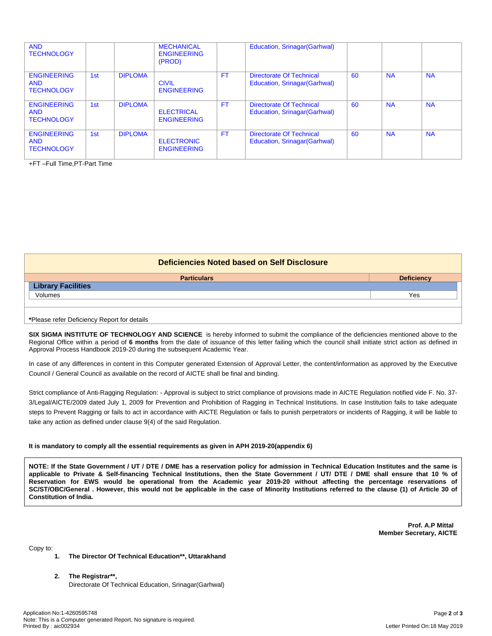| <b>AND</b><br><b>TECHNOLOGY</b>                       |     |                | <b>MECHANICAL</b><br><b>ENGINEERING</b><br>(PROD) |           | Education, Srinagar (Garhwal)                             |     |           |           |
|-------------------------------------------------------|-----|----------------|---------------------------------------------------|-----------|-----------------------------------------------------------|-----|-----------|-----------|
| <b>ENGINEERING</b><br><b>AND</b><br><b>TECHNOLOGY</b> | 1st | <b>DIPLOMA</b> | <b>CIVIL</b><br><b>ENGINEERING</b>                | <b>FT</b> | Directorate Of Technical<br>Education, Srinagar (Garhwal) | 60  | <b>NA</b> | <b>NA</b> |
| <b>ENGINEERING</b><br><b>AND</b><br><b>TECHNOLOGY</b> | 1st | <b>DIPLOMA</b> | <b>ELECTRICAL</b><br><b>ENGINEERING</b>           | <b>FT</b> | Directorate Of Technical<br>Education, Srinagar (Garhwal) | -60 | <b>NA</b> | <b>NA</b> |
| <b>ENGINEERING</b><br><b>AND</b><br><b>TECHNOLOGY</b> | 1st | <b>DIPLOMA</b> | <b>ELECTRONIC</b><br><b>ENGINEERING</b>           | <b>FT</b> | Directorate Of Technical<br>Education, Srinagar (Garhwal) | 60  | <b>NA</b> | <b>NA</b> |

+FT –Full Time,PT-Part Time

| <b>Deficiencies Noted based on Self Disclosure</b> |                   |  |  |  |
|----------------------------------------------------|-------------------|--|--|--|
| <b>Particulars</b>                                 | <b>Deficiency</b> |  |  |  |
| <b>Library Facilities</b>                          |                   |  |  |  |
| Volumes                                            | Yes               |  |  |  |
|                                                    |                   |  |  |  |
|                                                    |                   |  |  |  |

#### **\***Please refer Deficiency Report for details

**SIX SIGMA INSTITUTE OF TECHNOLOGY AND SCIENCE** is hereby informed to submit the compliance of the deficiencies mentioned above to the Regional Office within a period of **6 months** from the date of issuance of this letter failing which the council shall initiate strict action as defined in Approval Process Handbook 2019-20 during the subsequent Academic Year.

In case of any differences in content in this Computer generated Extension of Approval Letter, the content/information as approved by the Executive Council / General Council as available on the record of AICTE shall be final and binding.

Strict compliance of Anti-Ragging Regulation: - Approval is subject to strict compliance of provisions made in AICTE Regulation notified vide F. No. 37- 3/Legal/AICTE/2009 dated July 1, 2009 for Prevention and Prohibition of Ragging in Technical Institutions. In case Institution fails to take adequate steps to Prevent Ragging or fails to act in accordance with AICTE Regulation or fails to punish perpetrators or incidents of Ragging, it will be liable to take any action as defined under clause 9(4) of the said Regulation.

#### **It is mandatory to comply all the essential requirements as given in APH 2019-20(appendix 6)**

NOTE: If the State Government / UT / DTE / DME has a reservation policy for admission in Technical Education Institutes and the same is applicable to Private & Self-financing Technical Institutions, then the State Government / UT/ DTE / DME shall ensure that 10 % of Reservation for EWS would be operational from the Academic year 2019-20 without affecting the percentage reservations of SC/ST/OBC/General . However, this would not be applicable in the case of Minority Institutions referred to the clause (1) of Article 30 of **Constitution of India.**

> **Prof. A.P Mittal Member Secretary, AICTE**

Copy to:

- **1. The Director Of Technical Education\*\*, Uttarakhand**
- **2. The Registrar\*\*,** Directorate Of Technical Education, Srinagar(Garhwal)